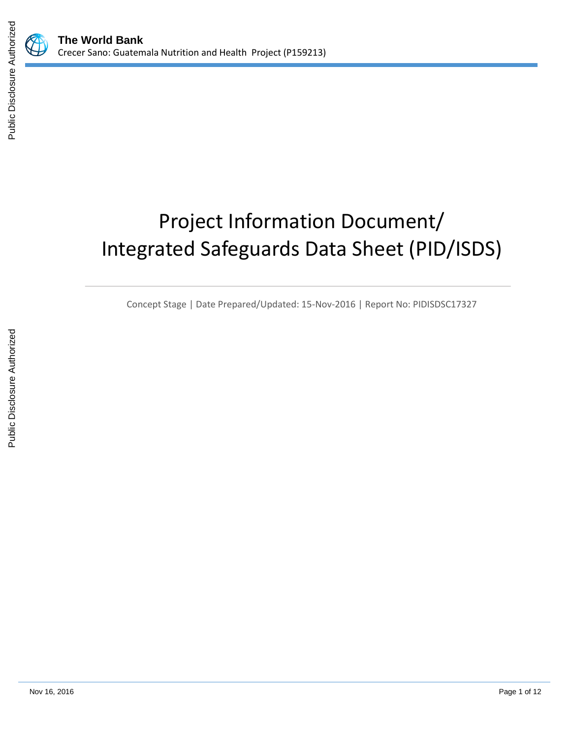# Project Information Document/ Integrated Safeguards Data Sheet (PID/ISDS)

Concept Stage | Date Prepared/Updated: 15-Nov-2016 | Report No: PIDISDSC17327

 $\mathbb{Z}$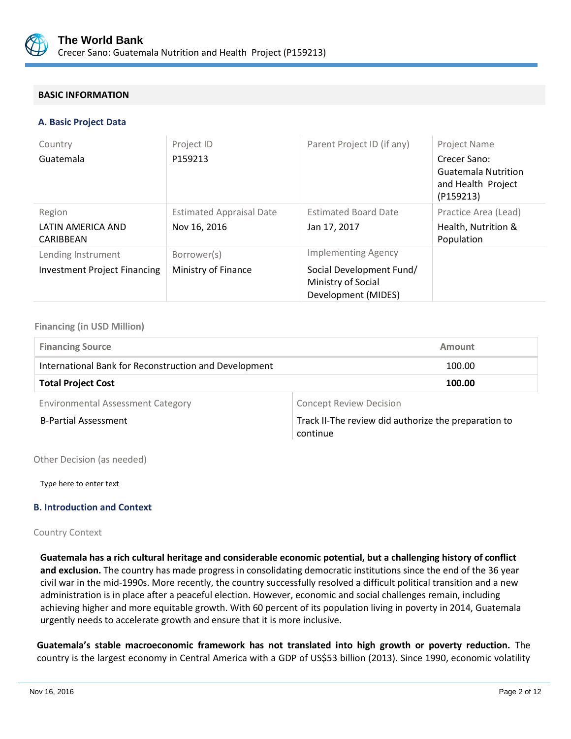

## **BASIC INFORMATION**

#### **A. Basic Project Data**

| Country                             | Project ID                      | Parent Project ID (if any)                                            | <b>Project Name</b>                                                           |
|-------------------------------------|---------------------------------|-----------------------------------------------------------------------|-------------------------------------------------------------------------------|
| Guatemala                           | P159213                         |                                                                       | Crecer Sano:<br><b>Guatemala Nutrition</b><br>and Health Project<br>(P159213) |
| Region                              | <b>Estimated Appraisal Date</b> | <b>Estimated Board Date</b>                                           | Practice Area (Lead)                                                          |
| LATIN AMERICA AND<br>CARIBBEAN      | Nov 16, 2016                    | Jan 17, 2017                                                          | Health, Nutrition &<br>Population                                             |
| Lending Instrument                  | Borrower(s)                     | <b>Implementing Agency</b>                                            |                                                                               |
| <b>Investment Project Financing</b> | Ministry of Finance             | Social Development Fund/<br>Ministry of Social<br>Development (MIDES) |                                                                               |

## **Financing (in USD Million)**

| <b>Financing Source</b>                               | Amount |
|-------------------------------------------------------|--------|
| International Bank for Reconstruction and Development | 100.00 |
| <b>Total Project Cost</b>                             | 100.00 |
|                                                       |        |

Environmental Assessment Category **Concept Review Decision** 

B-Partial Assessment Track II-The review did authorize the preparation to continue

Other Decision (as needed)

Type here to enter text

#### **B. Introduction and Context**

Country Context

**Guatemala has a rich cultural heritage and considerable economic potential, but a challenging history of conflict and exclusion.** The country has made progress in consolidating democratic institutions since the end of the 36 year civil war in the mid-1990s. More recently, the country successfully resolved a difficult political transition and a new administration is in place after a peaceful election. However, economic and social challenges remain, including achieving higher and more equitable growth. With 60 percent of its population living in poverty in 2014, Guatemala urgently needs to accelerate growth and ensure that it is more inclusive.

**Guatemala's stable macroeconomic framework has not translated into high growth or poverty reduction.** The country is the largest economy in Central America with a GDP of US\$53 billion (2013). Since 1990, economic volatility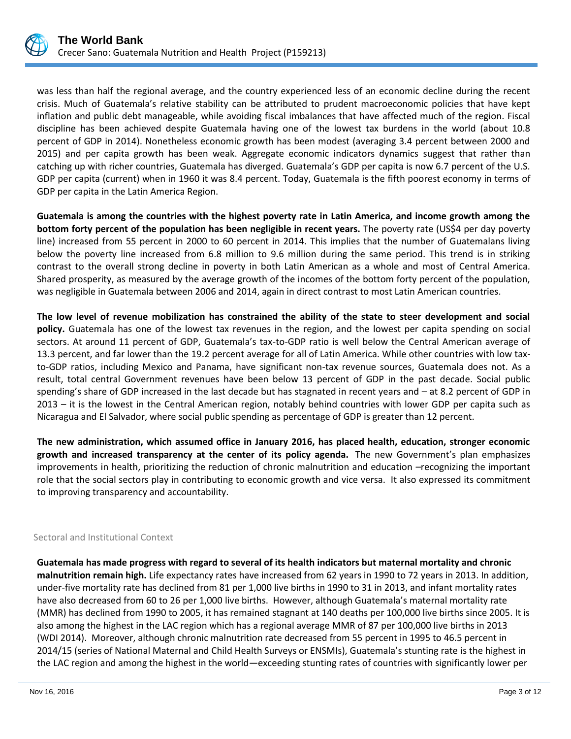

was less than half the regional average, and the country experienced less of an economic decline during the recent crisis. Much of Guatemala's relative stability can be attributed to prudent macroeconomic policies that have kept inflation and public debt manageable, while avoiding fiscal imbalances that have affected much of the region. Fiscal discipline has been achieved despite Guatemala having one of the lowest tax burdens in the world (about 10.8 percent of GDP in 2014). Nonetheless economic growth has been modest (averaging 3.4 percent between 2000 and 2015) and per capita growth has been weak. Aggregate economic indicators dynamics suggest that rather than catching up with richer countries, Guatemala has diverged. Guatemala's GDP per capita is now 6.7 percent of the U.S. GDP per capita (current) when in 1960 it was 8.4 percent. Today, Guatemala is the fifth poorest economy in terms of GDP per capita in the Latin America Region.

**Guatemala is among the countries with the highest poverty rate in Latin America, and income growth among the bottom forty percent of the population has been negligible in recent years.** The poverty rate (US\$4 per day poverty line) increased from 55 percent in 2000 to 60 percent in 2014. This implies that the number of Guatemalans living below the poverty line increased from 6.8 million to 9.6 million during the same period. This trend is in striking contrast to the overall strong decline in poverty in both Latin American as a whole and most of Central America. Shared prosperity, as measured by the average growth of the incomes of the bottom forty percent of the population, was negligible in Guatemala between 2006 and 2014, again in direct contrast to most Latin American countries.

**The low level of revenue mobilization has constrained the ability of the state to steer development and social policy.** Guatemala has one of the lowest tax revenues in the region, and the lowest per capita spending on social sectors. At around 11 percent of GDP, Guatemala's tax-to-GDP ratio is well below the Central American average of 13.3 percent, and far lower than the 19.2 percent average for all of Latin America. While other countries with low taxto-GDP ratios, including Mexico and Panama, have significant non-tax revenue sources, Guatemala does not. As a result, total central Government revenues have been below 13 percent of GDP in the past decade. Social public spending's share of GDP increased in the last decade but has stagnated in recent years and – at 8.2 percent of GDP in 2013 – it is the lowest in the Central American region, notably behind countries with lower GDP per capita such as Nicaragua and El Salvador, where social public spending as percentage of GDP is greater than 12 percent.

**The new administration, which assumed office in January 2016, has placed health, education, stronger economic growth and increased transparency at the center of its policy agenda.** The new Government's plan emphasizes improvements in health, prioritizing the reduction of chronic malnutrition and education –recognizing the important role that the social sectors play in contributing to economic growth and vice versa. It also expressed its commitment to improving transparency and accountability.

## Sectoral and Institutional Context

**Guatemala has made progress with regard to several of its health indicators but maternal mortality and chronic malnutrition remain high.** Life expectancy rates have increased from 62 years in 1990 to 72 years in 2013. In addition, under-five mortality rate has declined from 81 per 1,000 live births in 1990 to 31 in 2013, and infant mortality rates have also decreased from 60 to 26 per 1,000 live births. However, although Guatemala's maternal mortality rate (MMR) has declined from 1990 to 2005, it has remained stagnant at 140 deaths per 100,000 live births since 2005. It is also among the highest in the LAC region which has a regional average MMR of 87 per 100,000 live births in 2013 (WDI 2014). Moreover, although chronic malnutrition rate decreased from 55 percent in 1995 to 46.5 percent in 2014/15 (series of National Maternal and Child Health Surveys or ENSMIs), Guatemala's stunting rate is the highest in the LAC region and among the highest in the world—exceeding stunting rates of countries with significantly lower per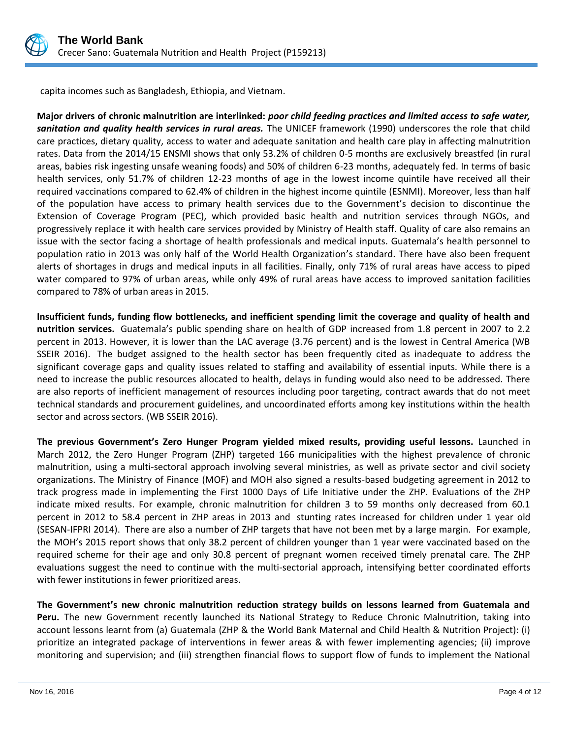

capita incomes such as Bangladesh, Ethiopia, and Vietnam.

**Major drivers of chronic malnutrition are interlinked:** *poor child feeding practices and limited access to safe water, sanitation and quality health services in rural areas.* The UNICEF framework (1990) underscores the role that child care practices, dietary quality, access to water and adequate sanitation and health care play in affecting malnutrition rates. Data from the 2014/15 ENSMI shows that only 53.2% of children 0-5 months are exclusively breastfed (in rural areas, babies risk ingesting unsafe weaning foods) and 50% of children 6-23 months, adequately fed. In terms of basic health services, only 51.7% of children 12-23 months of age in the lowest income quintile have received all their required vaccinations compared to 62.4% of children in the highest income quintile (ESNMI). Moreover, less than half of the population have access to primary health services due to the Government's decision to discontinue the Extension of Coverage Program (PEC), which provided basic health and nutrition services through NGOs, and progressively replace it with health care services provided by Ministry of Health staff. Quality of care also remains an issue with the sector facing a shortage of health professionals and medical inputs. Guatemala's health personnel to population ratio in 2013 was only half of the World Health Organization's standard. There have also been frequent alerts of shortages in drugs and medical inputs in all facilities. Finally, only 71% of rural areas have access to piped water compared to 97% of urban areas, while only 49% of rural areas have access to improved sanitation facilities compared to 78% of urban areas in 2015.

**Insufficient funds, funding flow bottlenecks, and inefficient spending limit the coverage and quality of health and nutrition services.** Guatemala's public spending share on health of GDP increased from 1.8 percent in 2007 to 2.2 percent in 2013. However, it is lower than the LAC average (3.76 percent) and is the lowest in Central America (WB SSEIR 2016). The budget assigned to the health sector has been frequently cited as inadequate to address the significant coverage gaps and quality issues related to staffing and availability of essential inputs. While there is a need to increase the public resources allocated to health, delays in funding would also need to be addressed. There are also reports of inefficient management of resources including poor targeting, contract awards that do not meet technical standards and procurement guidelines, and uncoordinated efforts among key institutions within the health sector and across sectors. (WB SSEIR 2016).

**The previous Government's Zero Hunger Program yielded mixed results, providing useful lessons.** Launched in March 2012, the Zero Hunger Program (ZHP) targeted 166 municipalities with the highest prevalence of chronic malnutrition, using a multi-sectoral approach involving several ministries, as well as private sector and civil society organizations. The Ministry of Finance (MOF) and MOH also signed a results-based budgeting agreement in 2012 to track progress made in implementing the First 1000 Days of Life Initiative under the ZHP. Evaluations of the ZHP indicate mixed results. For example, chronic malnutrition for children 3 to 59 months only decreased from 60.1 percent in 2012 to 58.4 percent in ZHP areas in 2013 and stunting rates increased for children under 1 year old (SESAN-IFPRI 2014). There are also a number of ZHP targets that have not been met by a large margin. For example, the MOH's 2015 report shows that only 38.2 percent of children younger than 1 year were vaccinated based on the required scheme for their age and only 30.8 percent of pregnant women received timely prenatal care. The ZHP evaluations suggest the need to continue with the multi-sectorial approach, intensifying better coordinated efforts with fewer institutions in fewer prioritized areas.

**The Government's new chronic malnutrition reduction strategy builds on lessons learned from Guatemala and Peru.** The new Government recently launched its National Strategy to Reduce Chronic Malnutrition, taking into account lessons learnt from (a) Guatemala (ZHP & the World Bank Maternal and Child Health & Nutrition Project): (i) prioritize an integrated package of interventions in fewer areas & with fewer implementing agencies; (ii) improve monitoring and supervision; and (iii) strengthen financial flows to support flow of funds to implement the National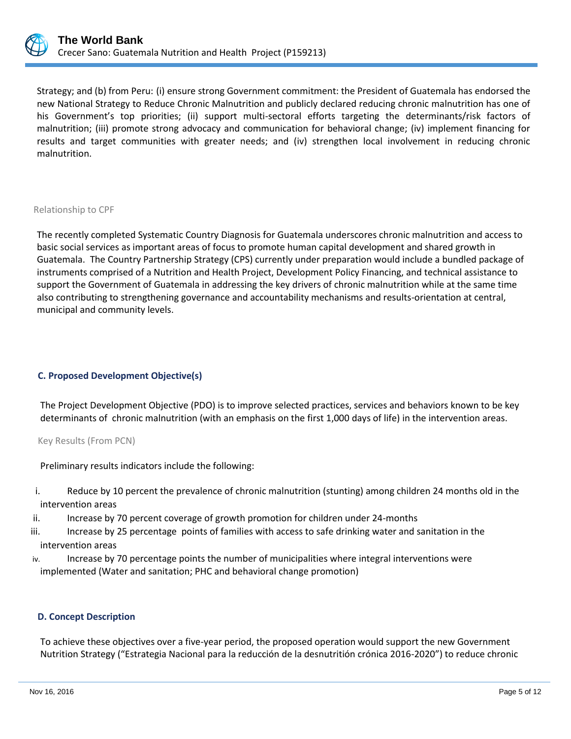

Strategy; and (b) from Peru: (i) ensure strong Government commitment: the President of Guatemala has endorsed the new National Strategy to Reduce Chronic Malnutrition and publicly declared reducing chronic malnutrition has one of his Government's top priorities; (ii) support multi-sectoral efforts targeting the determinants/risk factors of malnutrition; (iii) promote strong advocacy and communication for behavioral change; (iv) implement financing for results and target communities with greater needs; and (iv) strengthen local involvement in reducing chronic malnutrition.

#### Relationship to CPF

The recently completed Systematic Country Diagnosis for Guatemala underscores chronic malnutrition and access to basic social services as important areas of focus to promote human capital development and shared growth in Guatemala. The Country Partnership Strategy (CPS) currently under preparation would include a bundled package of instruments comprised of a Nutrition and Health Project, Development Policy Financing, and technical assistance to support the Government of Guatemala in addressing the key drivers of chronic malnutrition while at the same time also contributing to strengthening governance and accountability mechanisms and results-orientation at central, municipal and community levels.

#### **C. Proposed Development Objective(s)**

The Project Development Objective (PDO) is to improve selected practices, services and behaviors known to be key determinants of chronic malnutrition (with an emphasis on the first 1,000 days of life) in the intervention areas.

Key Results (From PCN)

Preliminary results indicators include the following:

- i. Reduce by 10 percent the prevalence of chronic malnutrition (stunting) among children 24 months old in the intervention areas
- ii. Increase by 70 percent coverage of growth promotion for children under 24-months
- iii. Increase by 25 percentage points of families with access to safe drinking water and sanitation in the intervention areas
- iv. Increase by 70 percentage points the number of municipalities where integral interventions were implemented (Water and sanitation; PHC and behavioral change promotion)

## **D. Concept Description**

To achieve these objectives over a five-year period, the proposed operation would support the new Government Nutrition Strategy ("Estrategia Nacional para la reducción de la desnutritión crónica 2016-2020") to reduce chronic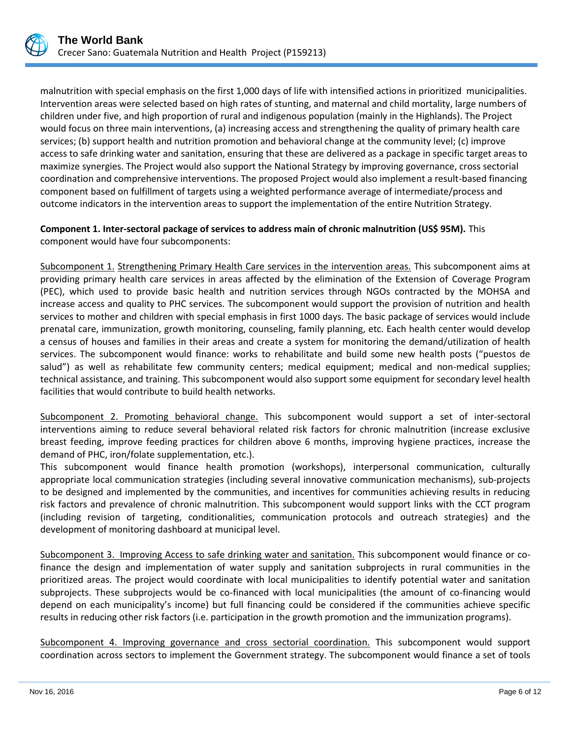

malnutrition with special emphasis on the first 1,000 days of life with intensified actions in prioritized municipalities. Intervention areas were selected based on high rates of stunting, and maternal and child mortality, large numbers of children under five, and high proportion of rural and indigenous population (mainly in the Highlands). The Project would focus on three main interventions, (a) increasing access and strengthening the quality of primary health care services; (b) support health and nutrition promotion and behavioral change at the community level; (c) improve access to safe drinking water and sanitation, ensuring that these are delivered as a package in specific target areas to maximize synergies. The Project would also support the National Strategy by improving governance, cross sectorial coordination and comprehensive interventions. The proposed Project would also implement a result-based financing component based on fulfillment of targets using a weighted performance average of intermediate/process and outcome indicators in the intervention areas to support the implementation of the entire Nutrition Strategy.

## **Component 1. Inter-sectoral package of services to address main of chronic malnutrition (US\$ 95M).** This component would have four subcomponents:

Subcomponent 1. Strengthening Primary Health Care services in the intervention areas. This subcomponent aims at providing primary health care services in areas affected by the elimination of the Extension of Coverage Program (PEC), which used to provide basic health and nutrition services through NGOs contracted by the MOHSA and increase access and quality to PHC services. The subcomponent would support the provision of nutrition and health services to mother and children with special emphasis in first 1000 days. The basic package of services would include prenatal care, immunization, growth monitoring, counseling, family planning, etc. Each health center would develop a census of houses and families in their areas and create a system for monitoring the demand/utilization of health services. The subcomponent would finance: works to rehabilitate and build some new health posts ("puestos de salud") as well as rehabilitate few community centers; medical equipment; medical and non-medical supplies; technical assistance, and training. This subcomponent would also support some equipment for secondary level health facilities that would contribute to build health networks.

Subcomponent 2. Promoting behavioral change. This subcomponent would support a set of inter-sectoral interventions aiming to reduce several behavioral related risk factors for chronic malnutrition (increase exclusive breast feeding, improve feeding practices for children above 6 months, improving hygiene practices, increase the demand of PHC, iron/folate supplementation, etc.).

This subcomponent would finance health promotion (workshops), interpersonal communication, culturally appropriate local communication strategies (including several innovative communication mechanisms), sub-projects to be designed and implemented by the communities, and incentives for communities achieving results in reducing risk factors and prevalence of chronic malnutrition. This subcomponent would support links with the CCT program (including revision of targeting, conditionalities, communication protocols and outreach strategies) and the development of monitoring dashboard at municipal level.

Subcomponent 3. Improving Access to safe drinking water and sanitation. This subcomponent would finance or cofinance the design and implementation of water supply and sanitation subprojects in rural communities in the prioritized areas. The project would coordinate with local municipalities to identify potential water and sanitation subprojects. These subprojects would be co-financed with local municipalities (the amount of co-financing would depend on each municipality's income) but full financing could be considered if the communities achieve specific results in reducing other risk factors (i.e. participation in the growth promotion and the immunization programs).

Subcomponent 4. Improving governance and cross sectorial coordination. This subcomponent would support coordination across sectors to implement the Government strategy. The subcomponent would finance a set of tools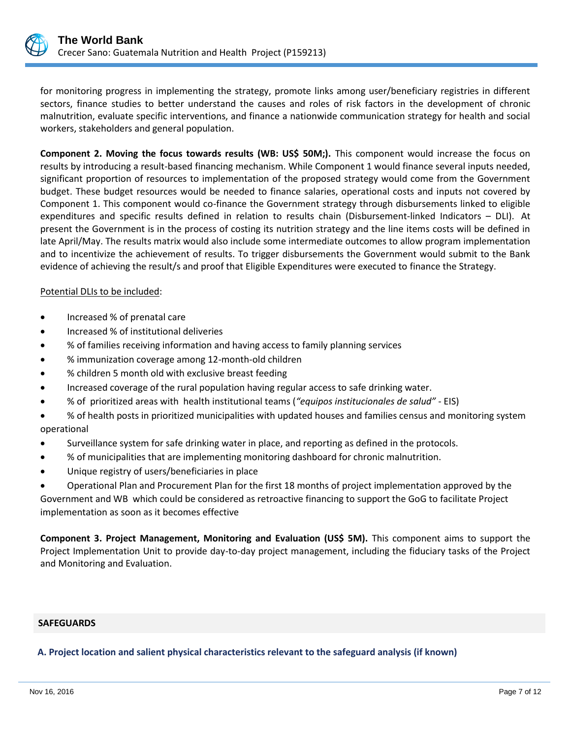

for monitoring progress in implementing the strategy, promote links among user/beneficiary registries in different sectors, finance studies to better understand the causes and roles of risk factors in the development of chronic malnutrition, evaluate specific interventions, and finance a nationwide communication strategy for health and social workers, stakeholders and general population.

**Component 2. Moving the focus towards results (WB: US\$ 50M;).** This component would increase the focus on results by introducing a result-based financing mechanism. While Component 1 would finance several inputs needed, significant proportion of resources to implementation of the proposed strategy would come from the Government budget. These budget resources would be needed to finance salaries, operational costs and inputs not covered by Component 1. This component would co-finance the Government strategy through disbursements linked to eligible expenditures and specific results defined in relation to results chain (Disbursement-linked Indicators – DLI). At present the Government is in the process of costing its nutrition strategy and the line items costs will be defined in late April/May. The results matrix would also include some intermediate outcomes to allow program implementation and to incentivize the achievement of results. To trigger disbursements the Government would submit to the Bank evidence of achieving the result/s and proof that Eligible Expenditures were executed to finance the Strategy.

## Potential DLIs to be included:

- Increased % of prenatal care
- **•** Increased % of institutional deliveries
- % of families receiving information and having access to family planning services
- % immunization coverage among 12-month-old children
- % children 5 month old with exclusive breast feeding
- Increased coverage of the rural population having regular access to safe drinking water.
- % of prioritized areas with health institutional teams (*"equipos institucionales de salud"* EIS)
- % of health posts in prioritized municipalities with updated houses and families census and monitoring system operational
- Surveillance system for safe drinking water in place, and reporting as defined in the protocols.
- % of municipalities that are implementing monitoring dashboard for chronic malnutrition.
- Unique registry of users/beneficiaries in place
- Operational Plan and Procurement Plan for the first 18 months of project implementation approved by the

Government and WB which could be considered as retroactive financing to support the GoG to facilitate Project implementation as soon as it becomes effective

**Component 3. Project Management, Monitoring and Evaluation (US\$ 5M).** This component aims to support the Project Implementation Unit to provide day-to-day project management, including the fiduciary tasks of the Project and Monitoring and Evaluation.

#### **SAFEGUARDS**

**A. Project location and salient physical characteristics relevant to the safeguard analysis (if known)**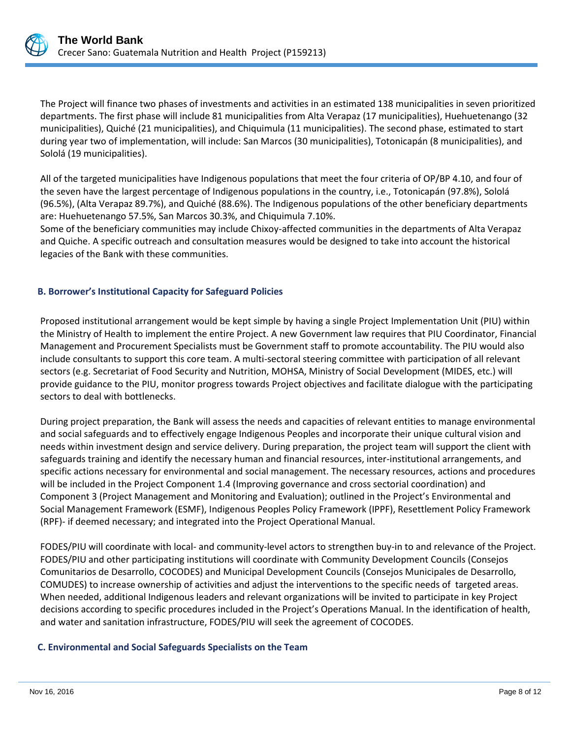

The Project will finance two phases of investments and activities in an estimated 138 municipalities in seven prioritized departments. The first phase will include 81 municipalities from Alta Verapaz (17 municipalities), Huehuetenango (32 municipalities), Quiché (21 municipalities), and Chiquimula (11 municipalities). The second phase, estimated to start during year two of implementation, will include: San Marcos (30 municipalities), Totonicapán (8 municipalities), and Sololá (19 municipalities).

All of the targeted municipalities have Indigenous populations that meet the four criteria of OP/BP 4.10, and four of the seven have the largest percentage of Indigenous populations in the country, i.e., Totonicapán (97.8%), Sololá (96.5%), (Alta Verapaz 89.7%), and Quiché (88.6%). The Indigenous populations of the other beneficiary departments are: Huehuetenango 57.5%, San Marcos 30.3%, and Chiquimula 7.10%.

Some of the beneficiary communities may include Chixoy-affected communities in the departments of Alta Verapaz and Quiche. A specific outreach and consultation measures would be designed to take into account the historical legacies of the Bank with these communities.

## **B. Borrower's Institutional Capacity for Safeguard Policies**

Proposed institutional arrangement would be kept simple by having a single Project Implementation Unit (PIU) within the Ministry of Health to implement the entire Project. A new Government law requires that PIU Coordinator, Financial Management and Procurement Specialists must be Government staff to promote accountability. The PIU would also include consultants to support this core team. A multi-sectoral steering committee with participation of all relevant sectors (e.g. Secretariat of Food Security and Nutrition, MOHSA, Ministry of Social Development (MIDES, etc.) will provide guidance to the PIU, monitor progress towards Project objectives and facilitate dialogue with the participating sectors to deal with bottlenecks.

During project preparation, the Bank will assess the needs and capacities of relevant entities to manage environmental and social safeguards and to effectively engage Indigenous Peoples and incorporate their unique cultural vision and needs within investment design and service delivery. During preparation, the project team will support the client with safeguards training and identify the necessary human and financial resources, inter-institutional arrangements, and specific actions necessary for environmental and social management. The necessary resources, actions and procedures will be included in the Project Component 1.4 (Improving governance and cross sectorial coordination) and Component 3 (Project Management and Monitoring and Evaluation); outlined in the Project's Environmental and Social Management Framework (ESMF), Indigenous Peoples Policy Framework (IPPF), Resettlement Policy Framework (RPF)- if deemed necessary; and integrated into the Project Operational Manual.

FODES/PIU will coordinate with local- and community-level actors to strengthen buy-in to and relevance of the Project. FODES/PIU and other participating institutions will coordinate with Community Development Councils (Consejos Comunitarios de Desarrollo, COCODES) and Municipal Development Councils (Consejos Municipales de Desarrollo, COMUDES) to increase ownership of activities and adjust the interventions to the specific needs of targeted areas. When needed, additional Indigenous leaders and relevant organizations will be invited to participate in key Project decisions according to specific procedures included in the Project's Operations Manual. In the identification of health, and water and sanitation infrastructure, FODES/PIU will seek the agreement of COCODES.

## **C. Environmental and Social Safeguards Specialists on the Team**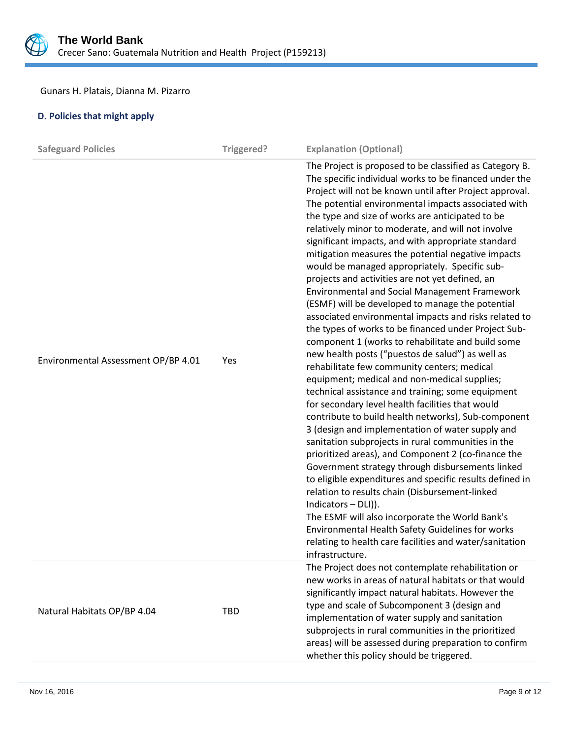

# Gunars H. Platais, Dianna M. Pizarro

# **D. Policies that might apply**

| <b>Safeguard Policies</b>           | Triggered? | <b>Explanation (Optional)</b>                                                                                                                                                                                                                                                                                                                                                                                                                                                                                                                                                                                                                                                                                                                                                                                                                                                                                                                                                                                                                                                                                                                                                                                                                                                                                                                                                                                                                                                                                                                                                                                                                                                                                     |
|-------------------------------------|------------|-------------------------------------------------------------------------------------------------------------------------------------------------------------------------------------------------------------------------------------------------------------------------------------------------------------------------------------------------------------------------------------------------------------------------------------------------------------------------------------------------------------------------------------------------------------------------------------------------------------------------------------------------------------------------------------------------------------------------------------------------------------------------------------------------------------------------------------------------------------------------------------------------------------------------------------------------------------------------------------------------------------------------------------------------------------------------------------------------------------------------------------------------------------------------------------------------------------------------------------------------------------------------------------------------------------------------------------------------------------------------------------------------------------------------------------------------------------------------------------------------------------------------------------------------------------------------------------------------------------------------------------------------------------------------------------------------------------------|
| Environmental Assessment OP/BP 4.01 | Yes        | The Project is proposed to be classified as Category B.<br>The specific individual works to be financed under the<br>Project will not be known until after Project approval.<br>The potential environmental impacts associated with<br>the type and size of works are anticipated to be<br>relatively minor to moderate, and will not involve<br>significant impacts, and with appropriate standard<br>mitigation measures the potential negative impacts<br>would be managed appropriately. Specific sub-<br>projects and activities are not yet defined, an<br><b>Environmental and Social Management Framework</b><br>(ESMF) will be developed to manage the potential<br>associated environmental impacts and risks related to<br>the types of works to be financed under Project Sub-<br>component 1 (works to rehabilitate and build some<br>new health posts ("puestos de salud") as well as<br>rehabilitate few community centers; medical<br>equipment; medical and non-medical supplies;<br>technical assistance and training; some equipment<br>for secondary level health facilities that would<br>contribute to build health networks), Sub-component<br>3 (design and implementation of water supply and<br>sanitation subprojects in rural communities in the<br>prioritized areas), and Component 2 (co-finance the<br>Government strategy through disbursements linked<br>to eligible expenditures and specific results defined in<br>relation to results chain (Disbursement-linked<br>Indicators - DLI)).<br>The ESMF will also incorporate the World Bank's<br>Environmental Health Safety Guidelines for works<br>relating to health care facilities and water/sanitation<br>infrastructure. |
| Natural Habitats OP/BP 4.04         | TBD        | The Project does not contemplate rehabilitation or<br>new works in areas of natural habitats or that would<br>significantly impact natural habitats. However the<br>type and scale of Subcomponent 3 (design and<br>implementation of water supply and sanitation<br>subprojects in rural communities in the prioritized<br>areas) will be assessed during preparation to confirm<br>whether this policy should be triggered.                                                                                                                                                                                                                                                                                                                                                                                                                                                                                                                                                                                                                                                                                                                                                                                                                                                                                                                                                                                                                                                                                                                                                                                                                                                                                     |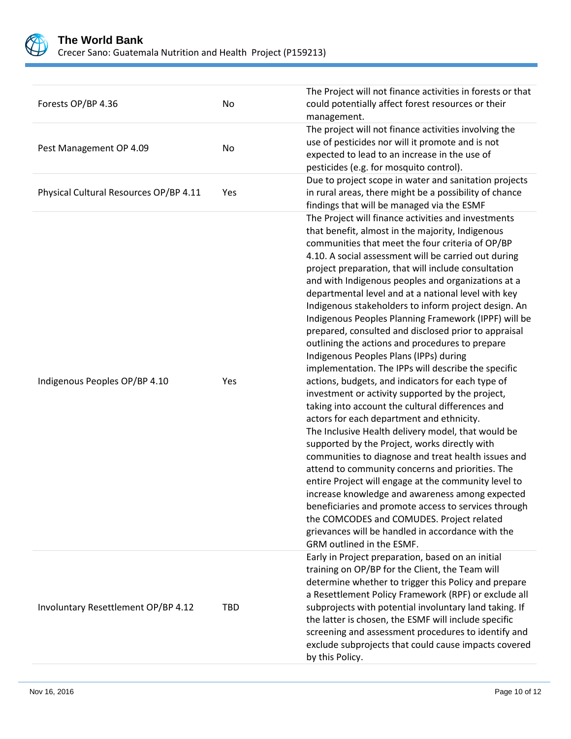

| Forests OP/BP 4.36                     | No         | The Project will not finance activities in forests or that<br>could potentially affect forest resources or their<br>management.                                                                                                                                                                                                                                                                                                                                                                                                                                                                                                                                                                                                                                                                                                                                                                                                                                                                                                                                                                                                                                                                                                                                                                                                                                                                                                                   |
|----------------------------------------|------------|---------------------------------------------------------------------------------------------------------------------------------------------------------------------------------------------------------------------------------------------------------------------------------------------------------------------------------------------------------------------------------------------------------------------------------------------------------------------------------------------------------------------------------------------------------------------------------------------------------------------------------------------------------------------------------------------------------------------------------------------------------------------------------------------------------------------------------------------------------------------------------------------------------------------------------------------------------------------------------------------------------------------------------------------------------------------------------------------------------------------------------------------------------------------------------------------------------------------------------------------------------------------------------------------------------------------------------------------------------------------------------------------------------------------------------------------------|
| Pest Management OP 4.09                | No         | The project will not finance activities involving the<br>use of pesticides nor will it promote and is not<br>expected to lead to an increase in the use of<br>pesticides (e.g. for mosquito control).                                                                                                                                                                                                                                                                                                                                                                                                                                                                                                                                                                                                                                                                                                                                                                                                                                                                                                                                                                                                                                                                                                                                                                                                                                             |
| Physical Cultural Resources OP/BP 4.11 | Yes        | Due to project scope in water and sanitation projects<br>in rural areas, there might be a possibility of chance<br>findings that will be managed via the ESMF                                                                                                                                                                                                                                                                                                                                                                                                                                                                                                                                                                                                                                                                                                                                                                                                                                                                                                                                                                                                                                                                                                                                                                                                                                                                                     |
| Indigenous Peoples OP/BP 4.10          | Yes        | The Project will finance activities and investments<br>that benefit, almost in the majority, Indigenous<br>communities that meet the four criteria of OP/BP<br>4.10. A social assessment will be carried out during<br>project preparation, that will include consultation<br>and with Indigenous peoples and organizations at a<br>departmental level and at a national level with key<br>Indigenous stakeholders to inform project design. An<br>Indigenous Peoples Planning Framework (IPPF) will be<br>prepared, consulted and disclosed prior to appraisal<br>outlining the actions and procedures to prepare<br>Indigenous Peoples Plans (IPPs) during<br>implementation. The IPPs will describe the specific<br>actions, budgets, and indicators for each type of<br>investment or activity supported by the project,<br>taking into account the cultural differences and<br>actors for each department and ethnicity.<br>The Inclusive Health delivery model, that would be<br>supported by the Project, works directly with<br>communities to diagnose and treat health issues and<br>attend to community concerns and priorities. The<br>entire Project will engage at the community level to<br>increase knowledge and awareness among expected<br>beneficiaries and promote access to services through<br>the COMCODES and COMUDES. Project related<br>grievances will be handled in accordance with the<br>GRM outlined in the ESMF. |
| Involuntary Resettlement OP/BP 4.12    | <b>TBD</b> | Early in Project preparation, based on an initial<br>training on OP/BP for the Client, the Team will<br>determine whether to trigger this Policy and prepare<br>a Resettlement Policy Framework (RPF) or exclude all<br>subprojects with potential involuntary land taking. If<br>the latter is chosen, the ESMF will include specific<br>screening and assessment procedures to identify and<br>exclude subprojects that could cause impacts covered<br>by this Policy.                                                                                                                                                                                                                                                                                                                                                                                                                                                                                                                                                                                                                                                                                                                                                                                                                                                                                                                                                                          |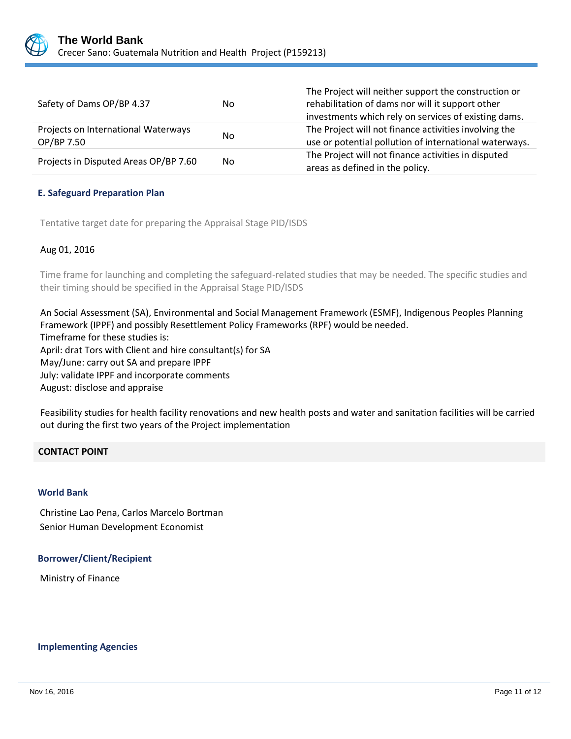

| Safety of Dams OP/BP 4.37                         | No. | The Project will neither support the construction or<br>rehabilitation of dams nor will it support other<br>investments which rely on services of existing dams. |
|---------------------------------------------------|-----|------------------------------------------------------------------------------------------------------------------------------------------------------------------|
| Projects on International Waterways<br>OP/BP 7.50 | No  | The Project will not finance activities involving the<br>use or potential pollution of international waterways.                                                  |
| Projects in Disputed Areas OP/BP 7.60             | No. | The Project will not finance activities in disputed<br>areas as defined in the policy.                                                                           |

## **E. Safeguard Preparation Plan**

Tentative target date for preparing the Appraisal Stage PID/ISDS

## Aug 01, 2016

Time frame for launching and completing the safeguard-related studies that may be needed. The specific studies and their timing should be specified in the Appraisal Stage PID/ISDS

An Social Assessment (SA), Environmental and Social Management Framework (ESMF), Indigenous Peoples Planning Framework (IPPF) and possibly Resettlement Policy Frameworks (RPF) would be needed. Timeframe for these studies is: April: drat Tors with Client and hire consultant(s) for SA May/June: carry out SA and prepare IPPF July: validate IPPF and incorporate comments August: disclose and appraise

Feasibility studies for health facility renovations and new health posts and water and sanitation facilities will be carried out during the first two years of the Project implementation

## **CONTACT POINT**

## **World Bank**

Christine Lao Pena, Carlos Marcelo Bortman Senior Human Development Economist

#### **Borrower/Client/Recipient**

Ministry of Finance

#### **Implementing Agencies**